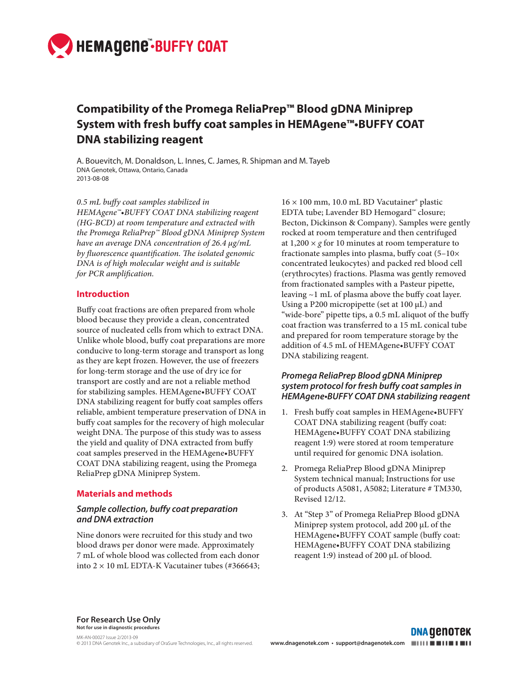

# **Compatibility of the Promega ReliaPrep™ Blood gDNA Miniprep System with fresh buffy coat samples in HEMAgene™•BUFFY COAT DNA stabilizing reagent**

A. Bouevitch, M. Donaldson, L. Innes, C. James, R. Shipman and M. Tayeb DNA Genotek, Ottawa, Ontario, Canada 2013-08-08

*0.5 mL bu y coat samples stabilized in HEMAgene™•BUFFY COAT DNA stabilizing reagent (HG-BCD) at room temperature and extracted with the Promega ReliaPrep™ Blood gDNA Miniprep System have an average DNA concentration of 26.4 µg/mL*  by fluorescence quantification. The isolated genomic *DNA is of high molecular weight and is suitable for PCR amplification.* 

## **Introduction**

Buffy coat fractions are often prepared from whole blood because they provide a clean, concentrated source of nucleated cells from which to extract DNA. Unlike whole blood, buffy coat preparations are more conducive to long-term storage and transport as long as they are kept frozen. However, the use of freezers for long-term storage and the use of dry ice for transport are costly and are not a reliable method for stabilizing samples. HEMAgene•BUFFY COAT DNA stabilizing reagent for buffy coat samples offers reliable, ambient temperature preservation of DNA in buffy coat samples for the recovery of high molecular weight DNA. The purpose of this study was to assess the yield and quality of DNA extracted from buffy coat samples preserved in the HEMAgene•BUFFY COAT DNA stabilizing reagent, using the Promega ReliaPrep gDNA Miniprep System.

#### **Materials and methods**

### *Sample collection, buffy coat preparation and DNA extraction*

Nine donors were recruited for this study and two blood draws per donor were made. Approximately 7 mL of whole blood was collected from each donor into  $2 \times 10$  mL EDTA-K Vacutainer tubes (#366643; 16 × 100 mm, 10.0 mL BD Vacutainer® plastic EDTA tube; Lavender BD Hemogard™ closure; Becton, Dickinson & Company). Samples were gently rocked at room temperature and then centrifuged at  $1,200 \times g$  for 10 minutes at room temperature to fractionate samples into plasma, buffy coat  $(5-10\times$ concentrated leukocytes) and packed red blood cell (erythrocytes) fractions. Plasma was gently removed from fractionated samples with a Pasteur pipette, leaving  $\sim$ 1 mL of plasma above the buffy coat layer. Using a P200 micropipette (set at 100 µL) and "wide-bore" pipette tips, a 0.5 mL aliquot of the buffy coat fraction was transferred to a 15 mL conical tube and prepared for room temperature storage by the addition of 4.5 mL of HEMAgene•BUFFY COAT DNA stabilizing reagent.

## *Promega ReliaPrep Blood gDNA Miniprep system protocol for fresh buffy coat samples in*  **HEMAgene•BUFFY COAT DNA stabilizing reagent**

- 1. Fresh buffy coat samples in HEMAgene•BUFFY COAT DNA stabilizing reagent (buffy coat: HEMAgene•BUFFY COAT DNA stabilizing reagent 1:9) were stored at room temperature until required for genomic DNA isolation.
- 2. Promega ReliaPrep Blood gDNA Miniprep System technical manual; Instructions for use of products A5081, A5082; Literature # TM330, Revised 12/12.
- 3. At "Step 3" of Promega ReliaPrep Blood gDNA Miniprep system protocol, add 200 µL of the HEMAgene•BUFFY COAT sample (buffy coat: HEMAgene•BUFFY COAT DNA stabilizing reagent 1:9) instead of 200 µL of blood.

**For Research Use Only Not for use in diagnostic procedures**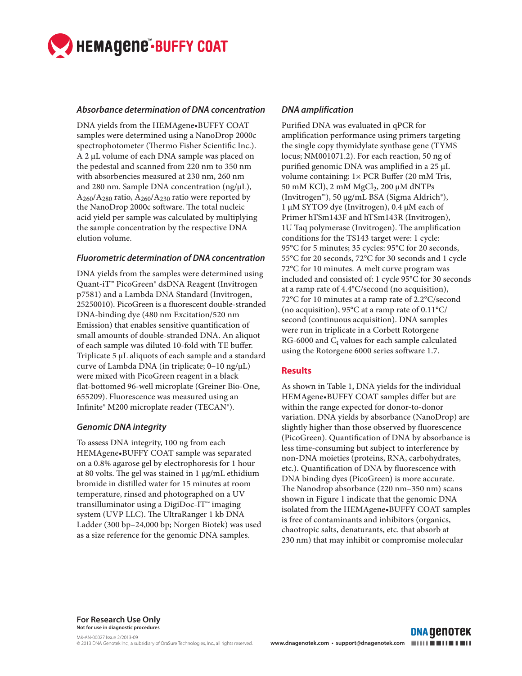

#### *Absorbance determination of DNA concentration*

DNA yields from the HEMAgene•BUFFY COAT samples were determined using a NanoDrop 2000c spectrophotometer (Thermo Fisher Scientific Inc.). A 2 µL volume of each DNA sample was placed on the pedestal and scanned from 220 nm to 350 nm with absorbencies measured at 230 nm, 260 nm and 280 nm. Sample DNA concentration (ng/ $\mu$ L),  $A_{260}/A_{280}$  ratio,  $A_{260}/A_{230}$  ratio were reported by the NanoDrop 2000c software. The total nucleic acid yield per sample was calculated by multiplying the sample concentration by the respective DNA elution volume.

#### **Fluorometric determination of DNA concentration**

DNA yields from the samples were determined using Quant-iT™ PicoGreen® dsDNA Reagent (Invitrogen p7581) and a Lambda DNA Standard (Invitrogen, 25250010). PicoGreen is a fluorescent double-stranded DNA-binding dye (480 nm Excitation/520 nm Emission) that enables sensitive quantification of small amounts of double-stranded DNA. An aliquot of each sample was diluted 10-fold with TE buffer. Triplicate 5 μL aliquots of each sample and a standard curve of Lambda DNA (in triplicate; 0–10 ng/μL) were mixed with PicoGreen reagent in a black flat-bottomed 96-well microplate (Greiner Bio-One, 655209). Fluorescence was measured using an Infinite® M200 microplate reader (TECAN®).

## *Genomic DNA integrity*

To assess DNA integrity, 100 ng from each HEMAgene•BUFFY COAT sample was separated on a 0.8% agarose gel by electrophoresis for 1 hour at 80 volts. The gel was stained in  $1 \mu g/mL$  ethidium bromide in distilled water for 15 minutes at room temperature, rinsed and photographed on a UV transilluminator using a DigiDoc-IT™ imaging system (UVP LLC). The UltraRanger 1 kb DNA Ladder (300 bp–24,000 bp; Norgen Biotek) was used as a size reference for the genomic DNA samples.

# *DNA amplification*

Purified DNA was evaluated in qPCR for amplification performance using primers targeting the single copy thymidylate synthase gene (TYMS locus; NM001071.2). For each reaction, 50 ng of purified genomic DNA was amplified in a  $25 \mu L$ volume containing:  $1 \times PCR$  Buffer (20 mM Tris, 50 mM KCl),  $2 \text{ mM } MgCl<sub>2</sub>$ ,  $200 \mu \text{M } dNTPs$ (Invitrogen™), 50 µg/mL BSA (Sigma Aldrich®), 1 µM SYTO9 dye (Invitrogen), 0.4 µM each of Primer hTSm143F and hTSm143R (Invitrogen), 1U Taq polymerase (Invitrogen). The amplification conditions for the TS143 target were: 1 cycle: 95°C for 5 minutes; 35 cycles: 95°C for 20 seconds, 55°C for 20 seconds, 72°C for 30 seconds and 1 cycle 72°C for 10 minutes. A melt curve program was included and consisted of: 1 cycle 95°C for 30 seconds at a ramp rate of 4.4°C/second (no acquisition), 72°C for 10 minutes at a ramp rate of 2.2°C/second (no acquisition), 95°C at a ramp rate of 0.11°C/ second (continuous acquisition). DNA samples were run in triplicate in a Corbett Rotorgene RG-6000 and  $C_t$  values for each sample calculated using the Rotorgene 6000 series software 1.7.

## **Results**

As shown in Table 1, DNA yields for the individual HEMAgene•BUFFY COAT samples differ but are within the range expected for donor-to-donor variation. DNA yields by absorbance (NanoDrop) are slightly higher than those observed by fluorescence (PicoGreen). Quantification of DNA by absorbance is less time-consuming but subject to interference by non-DNA moieties (proteins, RNA, carbohydrates, etc.). Quantification of DNA by fluorescence with DNA binding dyes (PicoGreen) is more accurate. The Nanodrop absorbance (220 nm-350 nm) scans shown in Figure 1 indicate that the genomic DNA isolated from the HEMAgene•BUFFY COAT samples is free of contaminants and inhibitors (organics, chaotropic salts, denaturants, etc. that absorb at 230 nm) that may inhibit or compromise molecular

**For Research Use Only Not for use in diagnostic procedures**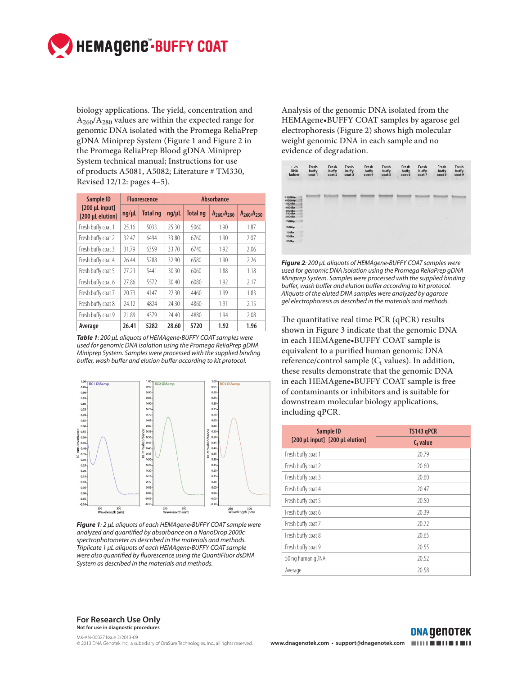

biology applications. The yield, concentration and  $A_{260}/A_{280}$  values are within the expected range for genomic DNA isolated with the Promega ReliaPrep gDNA Miniprep System (Figure 1 and Figure 2 in the Promega ReliaPrep Blood gDNA Miniprep System technical manual; Instructions for use of products A5081, A5082; Literature # TM330, Revised 12/12: pages 4–5).

| Sample ID<br>$[200 \mu L \text{ input}]$<br>[200 µL elution] | <b>Fluorescence</b> |                 | <b>Absorbance</b> |          |                   |                   |
|--------------------------------------------------------------|---------------------|-----------------|-------------------|----------|-------------------|-------------------|
|                                                              | ng/µL               | <b>Total ng</b> | $nq/\mu L$        | Total ng | $A_{260}/A_{280}$ | $A_{260}/A_{230}$ |
| Fresh buffy coat 1                                           | 25.16               | 5033            | 25.30             | 5060     | 1.90              | 1.87              |
| Fresh buffy coat 2                                           | 32.47               | 6494            | 33.80             | 6760     | 1.90              | 2.07              |
| Fresh buffy coat 3                                           | 31.79               | 6359            | 33.70             | 6740     | 1.92              | 2.06              |
| Fresh buffy coat 4                                           | 26.44               | 5288            | 32.90             | 6580     | 1.90              | 2.26              |
| Fresh buffy coat 5                                           | 27.21               | 5441            | 30.30             | 6060     | 1.88              | 1.18              |
| Fresh buffy coat 6                                           | 27.86               | 5572            | 30.40             | 6080     | 1.92              | 2.17              |
| Fresh buffy coat 7                                           | 20.73               | 4147            | 22.30             | 4460     | 1.99              | 1.83              |
| Fresh buffy coat 8                                           | 24.12               | 4824            | 24.30             | 4860     | 1.91              | 2.15              |
| Fresh buffy coat 9                                           | 21.89               | 4379            | 24.40             | 4880     | 1.94              | 2.08              |
| Average                                                      | 26.41               | 5282            | 28.60             | 5720     | 1.92              | 1.96              |

*Table 1*: 200 µL aliquots of HEMAgene•BUFFY COAT samples were used for genomic DNA isolation using the Promega ReliaPrep gDNA Miniprep System. Samples were processed with the supplied binding buffer, wash buffer and elution buffer according to kit protocol.



*Figure 1*: 2 µL aliquots of each HEMAgene•BUFFY COAT sample were analyzed and quantified by absorbance on a NanoDrop 2000c spectrophotometer as described in the materials and methods. Triplicate 1 µL aliquots of each HEMAgene•BUFFY COAT sample were also quantified by fluorescence using the QuantiFluor dsDNA System as described in the materials and methods.

Analysis of the genomic DNA isolated from the HEMAgene•BUFFY COAT samples by agarose gel electrophoresis (Figure 2) shows high molecular weight genomic DNA in each sample and no evidence of degradation.



*Figure 2*: 200 µL aliquots of HEMAgene•BUFFY COAT samples were used for genomic DNA isolation using the Promega ReliaPrep gDNA Miniprep System. Samples were processed with the supplied binding buffer, wash buffer and elution buffer according to kit protocol. Aliquots of the eluted DNA samples were analyzed by agarose gel electrophoresis as described in the materials and methods.

The quantitative real time PCR (qPCR) results shown in Figure 3 indicate that the genomic DNA in each HEMAgene•BUFFY COAT sample is equivalent to a purified human genomic DNA reference/control sample ( $C_t$  values). In addition, these results demonstrate that the genomic DNA in each HEMAgene•BUFFY COAT sample is free of contaminants or inhibitors and is suitable for downstream molecular biology applications, including qPCR.

| Sample ID                       | TS143 gPCR  |  |  |
|---------------------------------|-------------|--|--|
| [200 µL input] [200 µL elution] | $C_t$ value |  |  |
| Fresh buffy coat 1              | 20.79       |  |  |
| Fresh buffy coat 2              | 20.60       |  |  |
| Fresh buffy coat 3              | 20.60       |  |  |
| Fresh buffy coat 4              | 20.47       |  |  |
| Fresh buffy coat 5              | 20.50       |  |  |
| Fresh buffy coat 6              | 20.39       |  |  |
| Fresh buffy coat 7              | 20.72       |  |  |
| Fresh buffy coat 8              | 20.65       |  |  |
| Fresh buffy coat 9              | 20.55       |  |  |
| 50 ng human gDNA                | 20.52       |  |  |
| Average                         | 20.58       |  |  |

**For Research Use Only Not for use in diagnostic procedures**